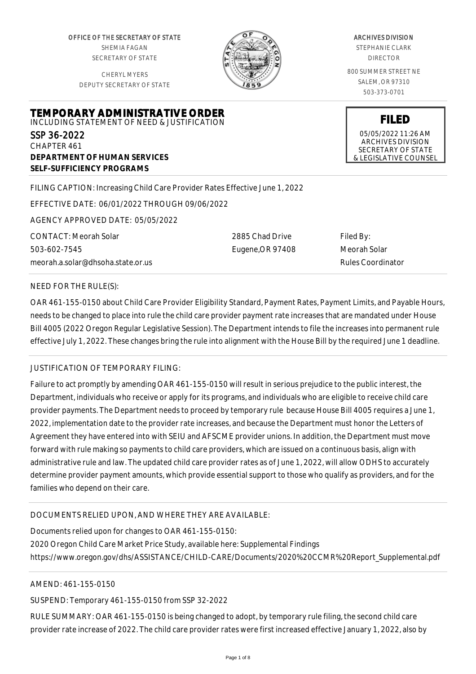OFFICE OF THE SECRETARY OF STATE SHEMIA FAGAN SECRETARY OF STATE

CHERYL MYERS DEPUTY SECRETARY OF STATE



#### ARCHIVES DIVISION

STEPHANIE CLARK DIRECTOR

800 SUMMER STREET NE SALEM, OR 97310 503-373-0701

**FILED**

05/05/2022 11:26 AM ARCHIVES DIVISION SECRETARY OF STATE & LEGISLATIVE COUNSEL

**TEMPORARY ADMINISTRATIVE ORDER** INCLUDING STATEMENT OF NEED & JUSTIFICATION

SSP 36-2022 CHAPTER 461 **DEPARTMENT OF HUMAN SERVICES SELF-SUFFICIENCY PROGRAMS**

FILING CAPTION: Increasing Child Care Provider Rates Effective June 1, 2022

EFFECTIVE DATE: 06/01/2022 THROUGH 09/06/2022

AGENCY APPROVED DATE: 05/05/2022

CONTACT: Meorah Solar 503-602-7545 meorah.a.solar@dhsoha.state.or.us

2885 Chad Drive Eugene,OR 97408 Filed By: Meorah Solar Rules Coordinator

#### NEED FOR THE RULE(S):

OAR 461-155-0150 about Child Care Provider Eligibility Standard, Payment Rates, Payment Limits, and Payable Hours, needs to be changed to place into rule the child care provider payment rate increases that are mandated under House Bill 4005 (2022 Oregon Regular Legislative Session). The Department intends to file the increases into permanent rule effective July 1, 2022. These changes bring the rule into alignment with the House Bill by the required June 1 deadline.

## JUSTIFICATION OF TEMPORARY FILING:

Failure to act promptly by amending OAR 461-155-0150 will result in serious prejudice to the public interest, the Department, individuals who receive or apply for its programs, and individuals who are eligible to receive child care provider payments. The Department needs to proceed by temporary rule because House Bill 4005 requires a June 1, 2022, implementation date to the provider rate increases, and because the Department must honor the Letters of Agreement they have entered into with SEIU and AFSCME provider unions. In addition, the Department must move forward with rule making so payments to child care providers, which are issued on a continuous basis, align with administrative rule and law. The updated child care provider rates as of June 1, 2022, will allow ODHS to accurately determine provider payment amounts, which provide essential support to those who qualify as providers, and for the families who depend on their care.

## DOCUMENTS RELIED UPON, AND WHERE THEY ARE AVAILABLE:

Documents relied upon for changes to OAR 461-155-0150: 2020 Oregon Child Care Market Price Study, available here: Supplemental Findings https://www.oregon.gov/dhs/ASSISTANCE/CHILD-CARE/Documents/2020%20CCMR%20Report\_Supplemental.pdf

## AMEND: 461-155-0150

SUSPEND: Temporary 461-155-0150 from SSP 32-2022

RULE SUMMARY: OAR 461-155-0150 is being changed to adopt, by temporary rule filing, the second child care provider rate increase of 2022. The child care provider rates were first increased effective January 1, 2022, also by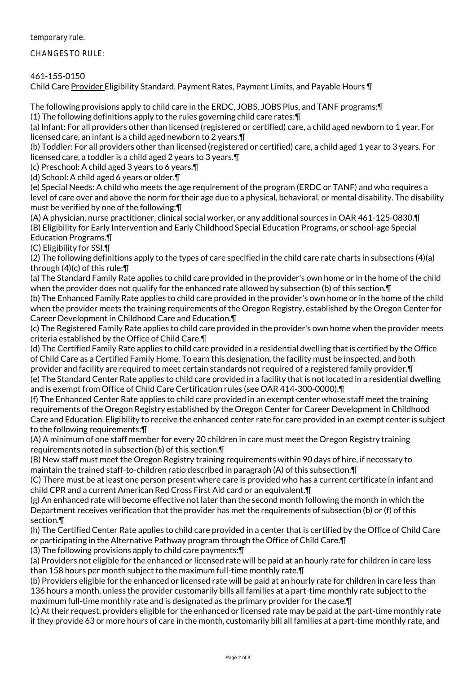temporary rule.

CHANGES TO RULE:

461-155-0150

Child Care Provider Eligibility Standard, Payment Rates, Payment Limits, and Payable Hours ¶

The following provisions apply to child care in the ERDC, JOBS, JOBS Plus, and TANF programs:¶

(1) The following definitions apply to the rules governing child care rates:¶

(a) Infant: For all providers other than licensed (registered or certified) care, a child aged newborn to 1 year. For licensed care, an infant is a child aged newborn to 2 years.¶

(b) Toddler: For all providers other than licensed (registered or certified) care, a child aged 1 year to 3 years. For licensed care, a toddler is a child aged 2 years to 3 years.¶

(c) Preschool: A child aged 3 years to 6 years.¶

(d) School: A child aged 6 years or older.¶

(e) Special Needs: A child who meets the age requirement of the program (ERDC or TANF) and who requires a level of care over and above the norm for their age due to a physical, behavioral, or mental disability. The disability must be verified by one of the following:¶

(A) A physician, nurse practitioner, clinical social worker, or any additional sources in OAR 461-125-0830.¶ (B) Eligibility for Early Intervention and Early Childhood Special Education Programs, or school-age Special Education Programs.¶

(C) Eligibility for SSI.¶

(2) The following definitions apply to the types of care specified in the child care rate charts in subsections (4)(a) through (4)(c) of this rule:¶

(a) The Standard Family Rate applies to child care provided in the provider's own home or in the home of the child when the provider does not qualify for the enhanced rate allowed by subsection (b) of this section.¶

(b) The Enhanced Family Rate applies to child care provided in the provider's own home or in the home of the child when the provider meets the training requirements of the Oregon Registry, established by the Oregon Center for Career Development in Childhood Care and Education.¶

(c) The Registered Family Rate applies to child care provided in the provider's own home when the provider meets criteria established by the Office of Child Care.¶

(d) The Certified Family Rate applies to child care provided in a residential dwelling that is certified by the Office of Child Care as a Certified Family Home. To earn this designation, the facility must be inspected, and both provider and facility are required to meet certain standards not required of a registered family provider.¶ (e) The Standard Center Rate applies to child care provided in a facility that is not located in a residential dwelling and is exempt from Office of Child Care Certification rules (see OAR 414-300-0000).¶

(f) The Enhanced Center Rate applies to child care provided in an exempt center whose staff meet the training requirements of the Oregon Registry established by the Oregon Center for Career Development in Childhood Care and Education. Eligibility to receive the enhanced center rate for care provided in an exempt center is subject to the following requirements:¶

(A) A minimum of one staff member for every 20 children in care must meet the Oregon Registry training requirements noted in subsection (b) of this section.¶

(B) New staff must meet the Oregon Registry training requirements within 90 days of hire, if necessary to maintain the trained staff-to-children ratio described in paragraph (A) of this subsection.¶

(C) There must be at least one person present where care is provided who has a current certificate in infant and child CPR and a current American Red Cross First Aid card or an equivalent.¶

(g) An enhanced rate will become effective not later than the second month following the month in which the Department receives verification that the provider has met the requirements of subsection (b) or (f) of this section.¶

(h) The Certified Center Rate applies to child care provided in a center that is certified by the Office of Child Care or participating in the Alternative Pathway program through the Office of Child Care.¶

(3) The following provisions apply to child care payments:¶

(a) Providers not eligible for the enhanced or licensed rate will be paid at an hourly rate for children in care less than 158 hours per month subject to the maximum full-time monthly rate.¶

(b) Providers eligible for the enhanced or licensed rate will be paid at an hourly rate for children in care less than 136 hours a month, unless the provider customarily bills all families at a part-time monthly rate subject to the maximum full-time monthly rate and is designated as the primary provider for the case.¶

(c) At their request, providers eligible for the enhanced or licensed rate may be paid at the part-time monthly rate if they provide 63 or more hours of care in the month, customarily bill all families at a part-time monthly rate, and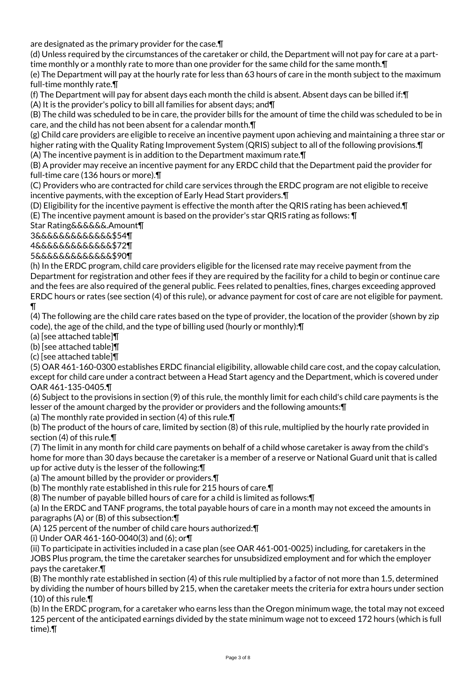are designated as the primary provider for the case.¶

(d) Unless required by the circumstances of the caretaker or child, the Department will not pay for care at a parttime monthly or a monthly rate to more than one provider for the same child for the same month.¶

(e) The Department will pay at the hourly rate for less than 63 hours of care in the month subject to the maximum full-time monthly rate.¶

(f) The Department will pay for absent days each month the child is absent. Absent days can be billed if:¶ (A) It is the provider's policy to bill all families for absent days; and¶

(B) The child was scheduled to be in care, the provider bills for the amount of time the child was scheduled to be in care, and the child has not been absent for a calendar month.¶

(g) Child care providers are eligible to receive an incentive payment upon achieving and maintaining a three star or higher rating with the Quality Rating Improvement System (QRIS) subject to all of the following provisions.¶ (A) The incentive payment is in addition to the Department maximum rate.¶

(B) A provider may receive an incentive payment for any ERDC child that the Department paid the provider for full-time care (136 hours or more).¶

(C) Providers who are contracted for child care services through the ERDC program are not eligible to receive incentive payments, with the exception of Early Head Start providers.¶

(D) Eligibility for the incentive payment is effective the month after the QRIS rating has been achieved.¶ (E) The incentive payment amount is based on the provider's star QRIS rating as follows: ¶

Star Rating&&&&&&.Amount¶

3&&&&&&&&&&&&&\$54¶

4&&&&&&&&&&&&&\$72¶

5&&&&&&&&&&&&&\$90¶

(h) In the ERDC program, child care providers eligible for the licensed rate may receive payment from the Department for registration and other fees if they are required by the facility for a child to begin or continue care and the fees are also required of the general public. Fees related to penalties, fines, charges exceeding approved ERDC hours or rates (see section (4) of this rule), or advance payment for cost of care are not eligible for payment. ¶

(4) The following are the child care rates based on the type of provider, the location of the provider (shown by zip code), the age of the child, and the type of billing used (hourly or monthly):¶

(a) [see attached table]¶

(b) [see attached table]¶

(c) [see attached table]¶

(5) OAR 461-160-0300 establishes ERDC financial eligibility, allowable child care cost, and the copay calculation, except for child care under a contract between a Head Start agency and the Department, which is covered under OAR 461-135-0405.¶

(6) Subject to the provisions in section (9) of this rule, the monthly limit for each child's child care payments is the lesser of the amount charged by the provider or providers and the following amounts:¶

(a) The monthly rate provided in section (4) of this rule.¶

(b) The product of the hours of care, limited by section (8) of this rule, multiplied by the hourly rate provided in section (4) of this rule.¶

(7) The limit in any month for child care payments on behalf of a child whose caretaker is away from the child's home for more than 30 days because the caretaker is a member of a reserve or National Guard unit that is called up for active duty is the lesser of the following:¶

(a) The amount billed by the provider or providers.¶

(b) The monthly rate established in this rule for 215 hours of care.¶

(8) The number of payable billed hours of care for a child is limited as follows:¶

(a) In the ERDC and TANF programs, the total payable hours of care in a month may not exceed the amounts in paragraphs (A) or (B) of this subsection:¶

(A) 125 percent of the number of child care hours authorized:¶

(i) Under OAR 461-160-0040(3) and (6); or¶

(ii) To participate in activities included in a case plan (see OAR 461-001-0025) including, for caretakers in the JOBS Plus program, the time the caretaker searches for unsubsidized employment and for which the employer pays the caretaker.¶

(B) The monthly rate established in section (4) of this rule multiplied by a factor of not more than 1.5, determined by dividing the number of hours billed by 215, when the caretaker meets the criteria for extra hours under section (10) of this rule.¶

(b) In the ERDC program, for a caretaker who earns less than the Oregon minimum wage, the total may not exceed 125 percent of the anticipated earnings divided by the state minimum wage not to exceed 172 hours (which is full time).¶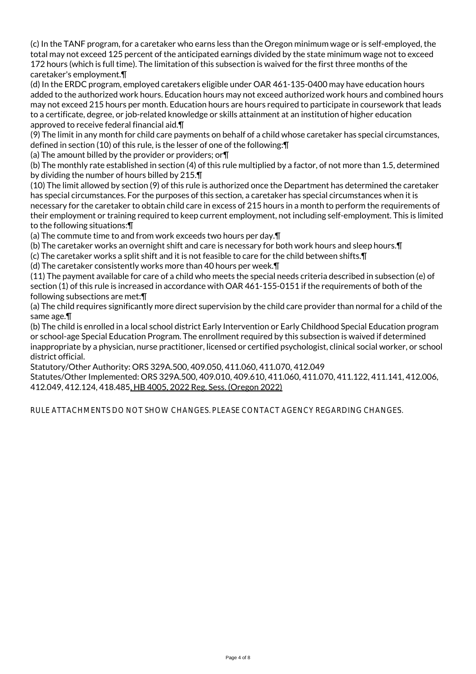(c) In the TANF program, for a caretaker who earns less than the Oregon minimum wage or is self-employed, the total may not exceed 125 percent of the anticipated earnings divided by the state minimum wage not to exceed 172 hours (which is full time). The limitation of this subsection is waived for the first three months of the caretaker's employment.¶

(d) In the ERDC program, employed caretakers eligible under OAR 461-135-0400 may have education hours added to the authorized work hours. Education hours may not exceed authorized work hours and combined hours may not exceed 215 hours per month. Education hours are hours required to participate in coursework that leads to a certificate, degree, or job-related knowledge or skills attainment at an institution of higher education approved to receive federal financial aid.¶

(9) The limit in any month for child care payments on behalf of a child whose caretaker has special circumstances, defined in section (10) of this rule, is the lesser of one of the following:¶

(a) The amount billed by the provider or providers; or¶

(b) The monthly rate established in section (4) of this rule multiplied by a factor, of not more than 1.5, determined by dividing the number of hours billed by 215.¶

(10) The limit allowed by section (9) of this rule is authorized once the Department has determined the caretaker has special circumstances. For the purposes of this section, a caretaker has special circumstances when it is necessary for the caretaker to obtain child care in excess of 215 hours in a month to perform the requirements of their employment or training required to keep current employment, not including self-employment. This is limited to the following situations:¶

(a) The commute time to and from work exceeds two hours per day.¶

(b) The caretaker works an overnight shift and care is necessary for both work hours and sleep hours.¶

(c) The caretaker works a split shift and it is not feasible to care for the child between shifts.¶

(d) The caretaker consistently works more than 40 hours per week.¶

(11) The payment available for care of a child who meets the special needs criteria described in subsection (e) of section (1) of this rule is increased in accordance with OAR 461-155-0151 if the requirements of both of the following subsections are met:¶

(a) The child requires significantly more direct supervision by the child care provider than normal for a child of the same age.¶

(b) The child is enrolled in a local school district Early Intervention or Early Childhood Special Education program or school-age Special Education Program. The enrollment required by this subsection is waived if determined inappropriate by a physician, nurse practitioner, licensed or certified psychologist, clinical social worker, or school district official.

Statutory/Other Authority: ORS 329A.500, 409.050, 411.060, 411.070, 412.049 Statutes/Other Implemented: ORS 329A.500, 409.010, 409.610, 411.060, 411.070, 411.122, 411.141, 412.006, 412.049, 412.124, 418.485, HB 4005, 2022 Reg. Sess. (Oregon 2022)

RULE ATTACHMENTS DO NOT SHOW CHANGES. PLEASE CONTACT AGENCY REGARDING CHANGES.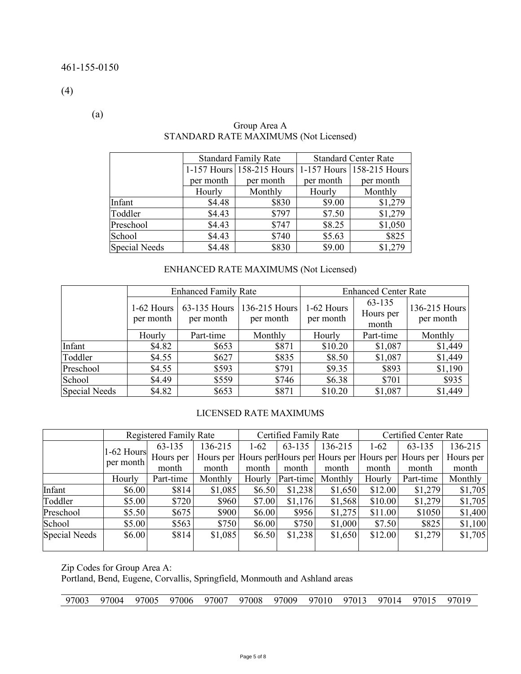(4)

(a)

|                      |           | <b>Standard Family Rate</b> | <b>Standard Center Rate</b> |                           |  |  |
|----------------------|-----------|-----------------------------|-----------------------------|---------------------------|--|--|
|                      |           | 1-157 Hours 158-215 Hours   |                             | 1-157 Hours 158-215 Hours |  |  |
|                      | per month | per month                   | per month                   | per month                 |  |  |
|                      | Hourly    | Monthly                     | Hourly                      | Monthly                   |  |  |
| Infant               | \$4.48    | \$830                       | \$9.00                      | \$1,279                   |  |  |
| Toddler              | \$4.43    | \$797                       | \$7.50                      | \$1,279                   |  |  |
| Preschool            | \$4.43    | \$747                       | \$8.25                      | \$1,050                   |  |  |
| School               | \$4.43    | \$740                       | \$5.63                      | \$825                     |  |  |
| <b>Special Needs</b> | \$4.48    | \$830                       | \$9.00                      | \$1,279                   |  |  |

#### Group Area A STANDARD RATE MAXIMUMS (Not Licensed)

# ENHANCED RATE MAXIMUMS (Not Licensed)

|                      |                           | <b>Enhanced Family Rate</b> |                            | <b>Enhanced Center Rate</b> |                              |                            |  |
|----------------------|---------------------------|-----------------------------|----------------------------|-----------------------------|------------------------------|----------------------------|--|
|                      | $1-62$ Hours<br>per month | 63-135 Hours<br>per month   | 136-215 Hours<br>per month | 1-62 Hours<br>per month     | 63-135<br>Hours per<br>month | 136-215 Hours<br>per month |  |
|                      | Hourly                    | Part-time                   | Monthly                    | Hourly                      | Part-time                    | Monthly                    |  |
| Infant               | \$4.82                    | \$653                       | \$871                      | \$10.20                     | \$1,087                      | \$1,449                    |  |
| Toddler              | \$4.55                    | \$627                       | \$835                      | \$8.50                      | \$1,087                      | \$1,449                    |  |
| Preschool            | \$4.55                    | \$593                       | \$791                      | \$9.35                      | \$893                        | \$1,190                    |  |
| School               | \$4.49                    | \$559                       | \$746                      | \$6.38                      | \$701                        | \$935                      |  |
| <b>Special Needs</b> | \$4.82                    | \$653                       | \$871                      | \$10.20                     | \$1,087                      | \$1,449                    |  |

#### LICENSED RATE MAXIMUMS

|                      |            | <b>Registered Family Rate</b> |         |          | Certified Family Rate |                                                   | Certified Center Rate |           |           |
|----------------------|------------|-------------------------------|---------|----------|-----------------------|---------------------------------------------------|-----------------------|-----------|-----------|
|                      | 1-62 Hours | 63-135                        | 136-215 | $1 - 62$ | 63-135                | 136-215                                           | $1 - 62$              | 63-135    | 136-215   |
|                      | per month  | Hours per                     |         |          |                       | Hours per Hours per Hours per Hours per Hours per |                       | Hours per | Hours per |
|                      |            | month                         | month   | month    | month                 | month                                             | month                 | month     | month     |
|                      | Hourly     | Part-time                     | Monthly | Hourly   | Part-time             | Monthly                                           | Hourly                | Part-time | Monthly   |
| Infant               | \$6.00     | \$814                         | \$1,085 | \$6.50   | \$1,238               | \$1,650                                           | \$12.00               | \$1,279   | \$1,705   |
| Toddler              | \$5.00     | \$720                         | \$960   | \$7.00   | \$1,176               | \$1,568                                           | \$10.00               | \$1,279   | \$1,705   |
| Preschool            | \$5.50     | \$675                         | \$900   | \$6.00   | \$956                 | \$1,275                                           | \$11.00               | \$1050    | \$1,400   |
| School               | \$5.00     | \$563                         | \$750   | \$6.00   | \$750                 | \$1,000                                           | \$7.50                | \$825     | \$1,100   |
| <b>Special Needs</b> | \$6.00     | \$814                         | \$1,085 | \$6.50   | \$1,238               | \$1,650                                           | \$12.00               | \$1,279   | \$1,705   |

Zip Codes for Group Area A:

Portland, Bend, Eugene, Corvallis, Springfield, Monmouth and Ashland areas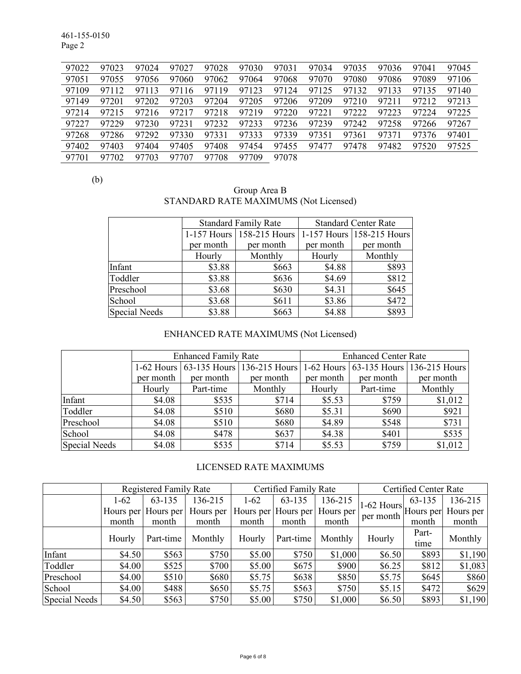461-155-0150 Page 2

| 97022 | 97023 | 97024     | 97027 | 97028 | 97030 | 97031 | 97034 | 97035 | 97036 | 97041 | 97045 |
|-------|-------|-----------|-------|-------|-------|-------|-------|-------|-------|-------|-------|
| 97051 | 97055 | 97056     | 97060 | 97062 | 97064 | 97068 | 97070 | 97080 | 97086 | 97089 | 97106 |
| 97109 | 97112 | 97113     | 97116 | 97119 | 97123 | 97124 | 97125 | 97132 | 97133 | 97135 | 97140 |
| 97149 | 97201 | 97202     | 97203 | 97204 | 97205 | 97206 | 97209 | 97210 | 97211 | 97212 | 97213 |
| 97214 | 97215 | 97216     | 97217 | 97218 | 97219 | 97220 | 97221 | 97222 | 97223 | 97224 | 97225 |
| 97227 | 97229 | 97230     | 97231 | 97232 | 97233 | 97236 | 97239 | 97242 | 97258 | 97266 | 97267 |
| 97268 | 97286 | 97292     | 97330 | 97331 | 97333 | 97339 | 97351 | 97361 | 97371 | 97376 | 97401 |
| 97402 | 97403 | 97404     | 97405 | 97408 | 97454 | 97455 | 97477 | 97478 | 97482 | 97520 | 97525 |
| 97701 | 97702 | 703<br>97 | 97707 | 97708 | 97709 | 97078 |       |       |       |       |       |

(b)

| Group Area B                          |  |
|---------------------------------------|--|
| STANDARD RATE MAXIMUMS (Not Licensed) |  |

|                      |           | <b>Standard Family Rate</b> | <b>Standard Center Rate</b> |                           |  |
|----------------------|-----------|-----------------------------|-----------------------------|---------------------------|--|
|                      |           | 1-157 Hours   158-215 Hours |                             | 1-157 Hours 158-215 Hours |  |
|                      | per month | per month                   | per month                   | per month                 |  |
|                      | Hourly    | Monthly                     | Hourly                      | Monthly                   |  |
| Infant               | \$3.88    | \$663                       | \$4.88                      | \$893                     |  |
| Toddler              | \$3.88    | \$636                       | \$4.69                      | \$812                     |  |
| Preschool            | \$3.68    | \$630                       | \$4.31                      | \$645                     |  |
| School               | \$3.68    | \$611                       | \$3.86                      | \$472                     |  |
| <b>Special Needs</b> | \$3.88    | \$663                       | \$4.88                      | \$893                     |  |

# ENHANCED RATE MAXIMUMS (Not Licensed)

|                      |           | <b>Enhanced Family Rate</b> |                                                                             | <b>Enhanced Center Rate</b> |           |           |  |  |
|----------------------|-----------|-----------------------------|-----------------------------------------------------------------------------|-----------------------------|-----------|-----------|--|--|
|                      |           |                             | 1-62 Hours 63-135 Hours 136-215 Hours 1-62 Hours 63-135 Hours 136-215 Hours |                             |           |           |  |  |
|                      | per month | per month                   | per month                                                                   | per month                   | per month | per month |  |  |
|                      | Hourly    | Part-time                   | Monthly                                                                     | Hourly                      | Part-time | Monthly   |  |  |
| Infant               | \$4.08    | \$535                       | \$714                                                                       | \$5.53                      | \$759     | \$1,012   |  |  |
| Toddler              | \$4.08    | \$510                       | \$680                                                                       | \$5.31                      | \$690     | \$921     |  |  |
| Preschool            | \$4.08    | \$510                       | \$680                                                                       | \$4.89                      | \$548     | \$731     |  |  |
| School               | \$4.08    | \$478                       | \$637                                                                       | \$4.38                      | \$401     | \$535     |  |  |
| <b>Special Needs</b> | \$4.08    | \$535                       | \$714                                                                       | \$5.53                      | \$759     | \$1,012   |  |  |

# LICENSED RATE MAXIMUMS

|               |          | <b>Registered Family Rate</b> |           |        | Certified Family Rate |                               | Certified Center Rate                                 |               |           |
|---------------|----------|-------------------------------|-----------|--------|-----------------------|-------------------------------|-------------------------------------------------------|---------------|-----------|
|               | $1 - 62$ | 63-135                        | 136-215   | $1-62$ | 63-135                | 136-215                       |                                                       | 63-135        | 136-215   |
|               |          | Hours per Hours per           | Hours per |        |                       | Hours per Hours per Hours per | $1-62$ Hours $\vert$ Hours per $\vert$ '<br>per month |               | Hours per |
|               | month    | month                         | month     | month  | month                 | month                         |                                                       | month         | month     |
|               | Hourly   | Part-time                     | Monthly   | Hourly | Part-time             | Monthly                       | Hourly                                                | Part-<br>time | Monthly   |
| Infant        | \$4.50   | \$563                         | \$750     | \$5.00 | \$750                 | \$1,000                       | \$6.50                                                | \$893         | \$1,190   |
| Toddler       | \$4.00   | \$525                         | \$700     | \$5.00 | \$675                 | \$900                         | \$6.25                                                | \$812         | \$1,083   |
| Preschool     | \$4.00   | \$510                         | \$680     | \$5.75 | \$638                 | \$850                         | \$5.75                                                | \$645         | \$860     |
| School        | \$4.00   | \$488                         | \$650     | \$5.75 | \$563                 | \$750                         | \$5.15                                                | \$472         | \$629     |
| Special Needs | \$4.50   | \$563                         | \$750     | \$5.00 | \$750                 | \$1,000                       | \$6.50                                                | \$893         | \$1,190   |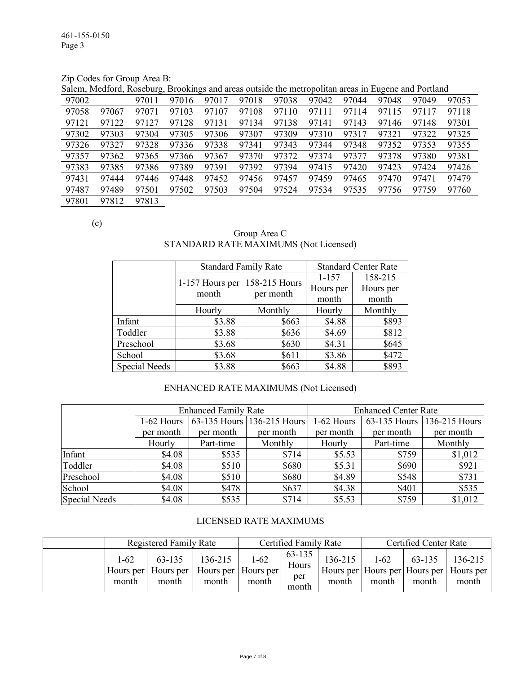Zip Codes for Group Area B:

Salem, Medford, Roseburg, Brookings and areas outside the metropolitan areas in Eugene and Portland

| 97002 |       | 97011 | 97016 | 97017 | 97018 | 97038 | 97042 | 97044 | 97048 | 97049 | 97053 |
|-------|-------|-------|-------|-------|-------|-------|-------|-------|-------|-------|-------|
| 97058 | 97067 | 97071 | 97103 | 97107 | 97108 | 97110 | 97111 | 97114 | 97115 | 97117 | 97118 |
| 97121 | 97122 | 97127 | 97128 | 97131 | 97134 | 97138 | 97141 | 97143 | 97146 | 97148 | 97301 |
| 97302 | 97303 | 97304 | 97305 | 97306 | 97307 | 97309 | 97310 | 97317 | 97321 | 97322 | 97325 |
| 97326 | 97327 | 97328 | 97336 | 97338 | 97341 | 97343 | 97344 | 97348 | 97352 | 97353 | 97355 |
| 97357 | 97362 | 97365 | 97366 | 97367 | 97370 | 97372 | 97374 | 97377 | 97378 | 97380 | 97381 |
| 97383 | 97385 | 97386 | 97389 | 97391 | 97392 | 97394 | 97415 | 97420 | 97423 | 97424 | 97426 |
| 97431 | 97444 | 97446 | 97448 | 97452 | 97456 | 97457 | 97459 | 97465 | 97470 | 97471 | 97479 |
| 97487 | 97489 | 97501 | 97502 | 97503 | 97504 | 97524 | 97534 | 97535 | 97756 | 97759 | 97760 |
| 97801 | 97812 | 97813 |       |       |       |       |       |       |       |       |       |

(c)

Group Area C STANDARD RATE MAXIMUMS (Not Licensed)

|               | <b>Standard Family Rate</b> |               | <b>Standard Center Rate</b> |           |  |
|---------------|-----------------------------|---------------|-----------------------------|-----------|--|
|               |                             | 158-215 Hours | $1 - 157$                   | 158-215   |  |
|               | 1-157 Hours per<br>month    |               | Hours per                   | Hours per |  |
|               |                             | per month     | month                       | month     |  |
|               | Hourly                      | Monthly       | Hourly                      | Monthly   |  |
| Infant        | \$3.88                      | \$663         | \$4.88                      | \$893     |  |
| Toddler       | \$3.88                      | \$636         | \$4.69                      | \$812     |  |
| Preschool     | \$3.68                      | \$630         | \$4.31                      | \$645     |  |
| School        | \$3.68                      | \$611         | \$3.86                      | \$472     |  |
| Special Needs | \$3.88                      | \$663         | \$4.88                      | \$893     |  |

#### ENHANCED RATE MAXIMUMS (Not Licensed)

|                      |            | <b>Enhanced Family Rate</b> |                            | <b>Enhanced Center Rate</b> |              |               |  |  |
|----------------------|------------|-----------------------------|----------------------------|-----------------------------|--------------|---------------|--|--|
|                      | 1-62 Hours |                             | 63-135 Hours 136-215 Hours | 1-62 Hours                  | 63-135 Hours | 136-215 Hours |  |  |
|                      | per month  | per month                   | per month                  | per month                   | per month    | per month     |  |  |
|                      | Hourly     | Part-time                   | Monthly                    | Hourly                      | Part-time    | Monthly       |  |  |
| Infant               | \$4.08     | \$535                       | \$714                      | \$5.53                      | \$759        | \$1,012       |  |  |
| Toddler              | \$4.08     | \$510                       | \$680                      | \$5.31                      | \$690        | \$921         |  |  |
| Preschool            | \$4.08     | \$510                       | \$680                      | \$4.89                      | \$548        | \$731         |  |  |
| School               | \$4.08     | \$478                       | \$637                      | \$4.38                      | \$401        | \$535         |  |  |
| <b>Special Needs</b> | \$4.08     | \$535                       | \$714                      | \$5.53                      | \$759        | \$1,012       |  |  |

#### LICENSED RATE MAXIMUMS

|                   | Registered Family Rate                                             |                  | Certified Family Rate |                                 |                  | <b>Certified Center Rate</b> |                 |                                                               |  |
|-------------------|--------------------------------------------------------------------|------------------|-----------------------|---------------------------------|------------------|------------------------------|-----------------|---------------------------------------------------------------|--|
| $1 - 62$<br>month | 63-135<br>Hours per   Hours per   Hours per   Hours per  <br>month | 136-215<br>month | $1 - 62$<br>month     | 63-135<br>Hours<br>per<br>month | 136-215<br>month | $1-62$<br>month              | 63-135<br>month | 136-215<br>Hours per Hours per Hours per Hours per  <br>month |  |